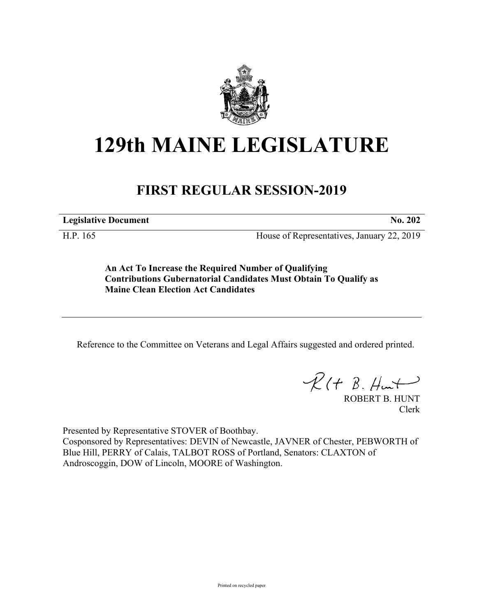

## **129th MAINE LEGISLATURE**

## **FIRST REGULAR SESSION-2019**

**Legislative Document No. 202**

H.P. 165 House of Representatives, January 22, 2019

**An Act To Increase the Required Number of Qualifying Contributions Gubernatorial Candidates Must Obtain To Qualify as Maine Clean Election Act Candidates**

Reference to the Committee on Veterans and Legal Affairs suggested and ordered printed.

 $R(H B. H<sub>un</sub>)$ 

ROBERT B. HUNT Clerk

Presented by Representative STOVER of Boothbay.

Cosponsored by Representatives: DEVIN of Newcastle, JAVNER of Chester, PEBWORTH of Blue Hill, PERRY of Calais, TALBOT ROSS of Portland, Senators: CLAXTON of Androscoggin, DOW of Lincoln, MOORE of Washington.